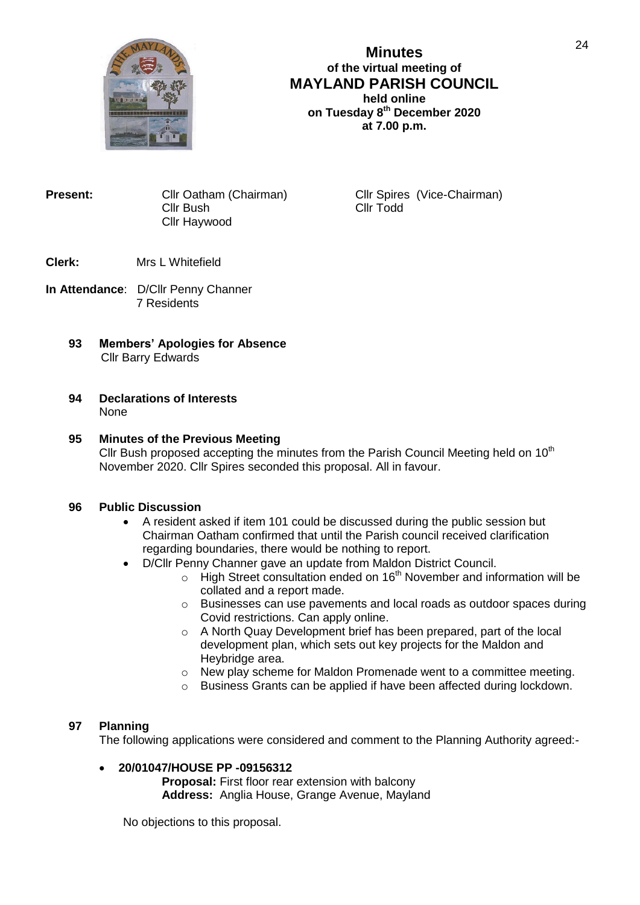

# **Minutes of the virtual meeting of MAYLAND PARISH COUNCIL held online on Tuesday 8 th December 2020 at 7.00 p.m.**

**Present:** Cllr Oatham (Chairman) Cllr Spires (Vice-Chairman) Cllr Spires (Vice-Chairman) Cllr Bush Cllr Haywood

## **Clerk:** Mrs L Whitefield

- **In Attendance**: D/Cllr Penny Channer 7 Residents
	- **93 Members' Apologies for Absence** Cllr Barry Edwards

#### **94 Declarations of Interests** None

## **95 Minutes of the Previous Meeting**

Cllr Bush proposed accepting the minutes from the Parish Council Meeting held on 10<sup>th</sup> November 2020. Cllr Spires seconded this proposal. All in favour.

## **96 Public Discussion**

- A resident asked if item 101 could be discussed during the public session but Chairman Oatham confirmed that until the Parish council received clarification regarding boundaries, there would be nothing to report.
- D/Cllr Penny Channer gave an update from Maldon District Council.
	- $\circ$  High Street consultation ended on 16<sup>th</sup> November and information will be collated and a report made.
	- o Businesses can use pavements and local roads as outdoor spaces during Covid restrictions. Can apply online.
	- o A North Quay Development brief has been prepared, part of the local development plan, which sets out key projects for the Maldon and Heybridge area.
	- $\circ$  New play scheme for Maldon Promenade went to a committee meeting.
	- o Business Grants can be applied if have been affected during lockdown.

## **97 Planning**

The following applications were considered and comment to the Planning Authority agreed:-

# **20/01047/HOUSE PP -09156312**

**Proposal:** First floor rear extension with balcony **Address:** Anglia House, Grange Avenue, Mayland

No objections to this proposal.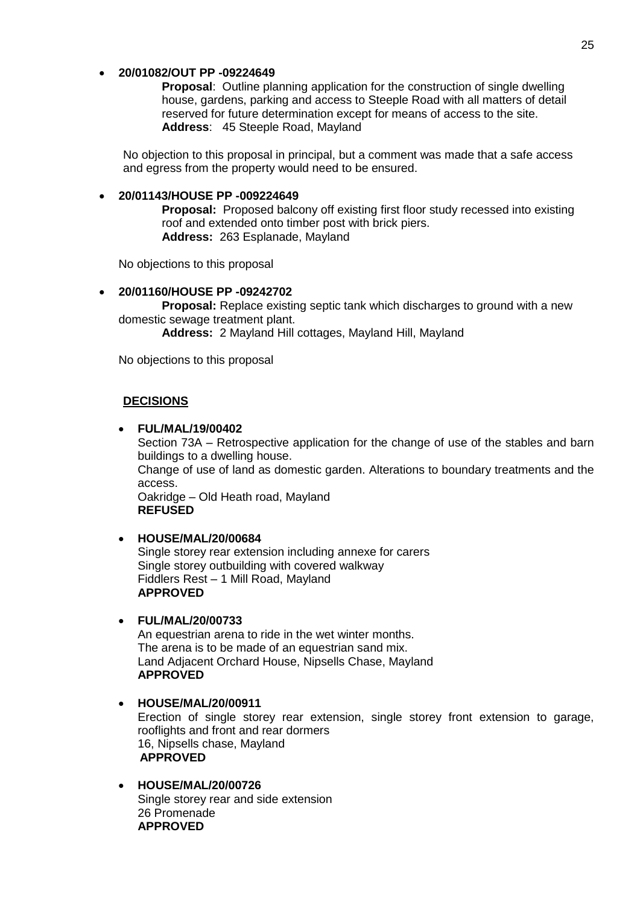### **20/01082/OUT PP -09224649**

**Proposal**: Outline planning application for the construction of single dwelling house, gardens, parking and access to Steeple Road with all matters of detail reserved for future determination except for means of access to the site. **Address**: 45 Steeple Road, Mayland

No objection to this proposal in principal, but a comment was made that a safe access and egress from the property would need to be ensured.

### **20/01143/HOUSE PP -009224649**

**Proposal:** Proposed balcony off existing first floor study recessed into existing roof and extended onto timber post with brick piers. **Address:** 263 Esplanade, Mayland

No objections to this proposal

**20/01160/HOUSE PP -09242702**

**Proposal:** Replace existing septic tank which discharges to ground with a new domestic sewage treatment plant.

**Address:** 2 Mayland Hill cottages, Mayland Hill, Mayland

No objections to this proposal

## **DECISIONS**

#### **FUL/MAL/19/00402**

Section 73A – Retrospective application for the change of use of the stables and barn buildings to a dwelling house.

Change of use of land as domestic garden. Alterations to boundary treatments and the access.

Oakridge – Old Heath road, Mayland **REFUSED**

## **HOUSE/MAL/20/00684**

Single storey rear extension including annexe for carers Single storey outbuilding with covered walkway Fiddlers Rest – 1 Mill Road, Mayland **APPROVED**

#### **FUL/MAL/20/00733**

An equestrian arena to ride in the wet winter months. The arena is to be made of an equestrian sand mix. Land Adjacent Orchard House, Nipsells Chase, Mayland **APPROVED**

- **HOUSE/MAL/20/00911** Erection of single storey rear extension, single storey front extension to garage, rooflights and front and rear dormers 16, Nipsells chase, Mayland **APPROVED**
- **HOUSE/MAL/20/00726** Single storey rear and side extension 26 Promenade **APPROVED**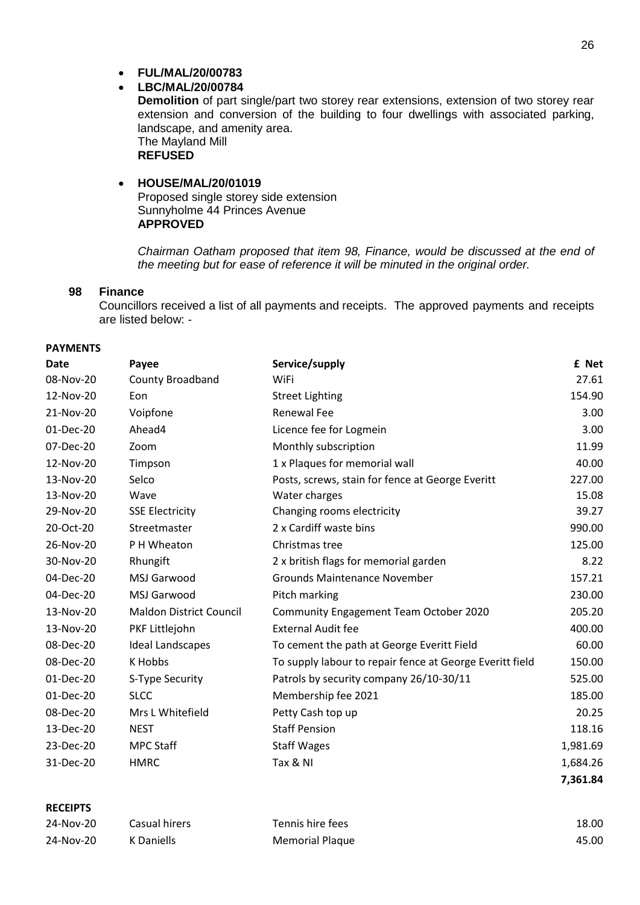# **LBC/MAL/20/00784**

**Demolition** of part single/part two storey rear extensions, extension of two storey rear extension and conversion of the building to four dwellings with associated parking, landscape, and amenity area. The Mayland Mill **REFUSED**

## **HOUSE/MAL/20/01019** Proposed single storey side extension Sunnyholme 44 Princes Avenue

#### **APPROVED**

*Chairman Oatham proposed that item 98, Finance, would be discussed at the end of the meeting but for ease of reference it will be minuted in the original order.*

## **98 Finance**

Councillors received a list of all payments and receipts. The approved payments and receipts are listed below: -

## **PAYMENTS**

| <b>Date</b> | Payee                          | Service/supply                                           | £ Net    |
|-------------|--------------------------------|----------------------------------------------------------|----------|
| 08-Nov-20   | <b>County Broadband</b>        | WiFi                                                     | 27.61    |
| 12-Nov-20   | Eon                            | <b>Street Lighting</b>                                   | 154.90   |
| 21-Nov-20   | Voipfone                       | <b>Renewal Fee</b>                                       | 3.00     |
| 01-Dec-20   | Ahead4                         | Licence fee for Logmein                                  | 3.00     |
| 07-Dec-20   | Zoom                           | Monthly subscription                                     | 11.99    |
| 12-Nov-20   | Timpson                        | 1 x Plaques for memorial wall                            | 40.00    |
| 13-Nov-20   | Selco                          | Posts, screws, stain for fence at George Everitt         | 227.00   |
| 13-Nov-20   | Wave                           | Water charges                                            | 15.08    |
| 29-Nov-20   | <b>SSE Electricity</b>         | Changing rooms electricity                               | 39.27    |
| 20-Oct-20   | Streetmaster                   | 2 x Cardiff waste bins                                   | 990.00   |
| 26-Nov-20   | P H Wheaton                    | Christmas tree                                           | 125.00   |
| 30-Nov-20   | Rhungift                       | 2 x british flags for memorial garden                    | 8.22     |
| 04-Dec-20   | MSJ Garwood                    | <b>Grounds Maintenance November</b>                      | 157.21   |
| 04-Dec-20   | MSJ Garwood                    | Pitch marking                                            | 230.00   |
| 13-Nov-20   | <b>Maldon District Council</b> | Community Engagement Team October 2020                   | 205.20   |
| 13-Nov-20   | PKF Littlejohn                 | <b>External Audit fee</b>                                | 400.00   |
| 08-Dec-20   | <b>Ideal Landscapes</b>        | To cement the path at George Everitt Field               | 60.00    |
| 08-Dec-20   | K Hobbs                        | To supply labour to repair fence at George Everitt field | 150.00   |
| 01-Dec-20   | S-Type Security                | Patrols by security company 26/10-30/11                  | 525.00   |
| 01-Dec-20   | <b>SLCC</b>                    | Membership fee 2021                                      | 185.00   |
| 08-Dec-20   | Mrs L Whitefield               | Petty Cash top up                                        | 20.25    |
| 13-Dec-20   | <b>NEST</b>                    | <b>Staff Pension</b>                                     | 118.16   |
| 23-Dec-20   | <b>MPC Staff</b>               | <b>Staff Wages</b>                                       | 1,981.69 |
| 31-Dec-20   | <b>HMRC</b>                    | Tax & NI                                                 | 1,684.26 |
|             |                                |                                                          | 7,361.84 |

#### **RECEIPTS**

| 24-Nov-20 | Casual hirers | Tennis hire fees | 18.00 |
|-----------|---------------|------------------|-------|
| 24-Nov-20 | K Daniells    | Memorial Plaque  | 45.00 |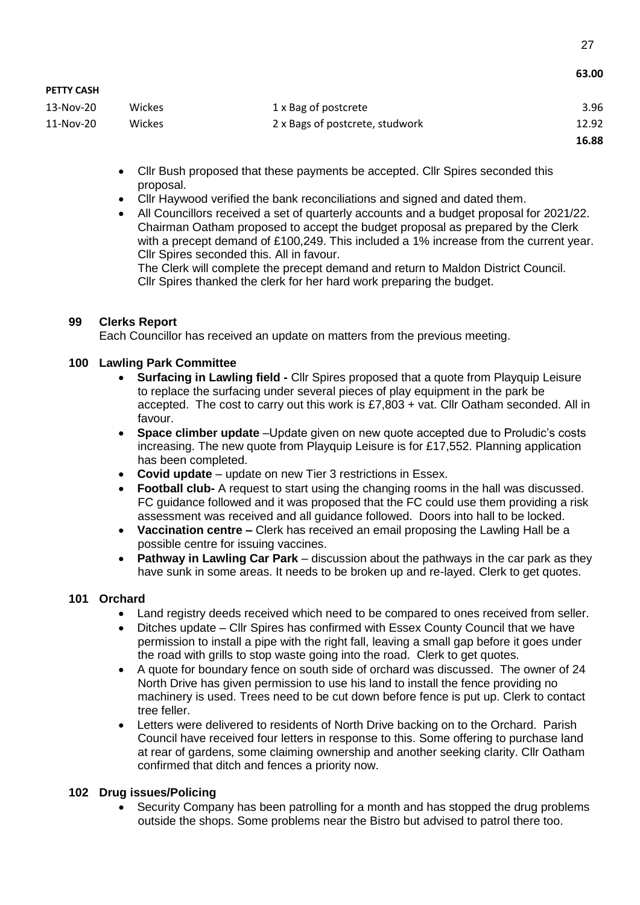|                   |        |                                 | טט.כט |
|-------------------|--------|---------------------------------|-------|
| <b>PETTY CASH</b> |        |                                 |       |
| 13-Nov-20         | Wickes | 1 x Bag of postcrete            | 3.96  |
| 11-Nov-20         | Wickes | 2 x Bags of postcrete, studwork | 12.92 |
|                   |        |                                 | 16.88 |

- Cllr Bush proposed that these payments be accepted. Cllr Spires seconded this proposal.
- Cllr Haywood verified the bank reconciliations and signed and dated them.
- All Councillors received a set of quarterly accounts and a budget proposal for 2021/22. Chairman Oatham proposed to accept the budget proposal as prepared by the Clerk with a precept demand of £100,249. This included a 1% increase from the current year. Cllr Spires seconded this. All in favour.

The Clerk will complete the precept demand and return to Maldon District Council. Cllr Spires thanked the clerk for her hard work preparing the budget.

# **99 Clerks Report**

Each Councillor has received an update on matters from the previous meeting.

# **100 Lawling Park Committee**

- **Surfacing in Lawling field -** Cllr Spires proposed that a quote from Playquip Leisure to replace the surfacing under several pieces of play equipment in the park be accepted. The cost to carry out this work is £7,803 + vat. Cllr Oatham seconded. All in favour.
- **Space climber update** –Update given on new quote accepted due to Proludic's costs increasing. The new quote from Playquip Leisure is for £17,552. Planning application has been completed.
- **Covid update** update on new Tier 3 restrictions in Essex.
- **Football club-** A request to start using the changing rooms in the hall was discussed. FC guidance followed and it was proposed that the FC could use them providing a risk assessment was received and all guidance followed. Doors into hall to be locked.
- **Vaccination centre –** Clerk has received an email proposing the Lawling Hall be a possible centre for issuing vaccines.
- **Pathway in Lawling Car Park** discussion about the pathways in the car park as they have sunk in some areas. It needs to be broken up and re-layed. Clerk to get quotes.

## **101 Orchard**

- Land registry deeds received which need to be compared to ones received from seller.
- Ditches update Cllr Spires has confirmed with Essex County Council that we have permission to install a pipe with the right fall, leaving a small gap before it goes under the road with grills to stop waste going into the road. Clerk to get quotes.
- A quote for boundary fence on south side of orchard was discussed. The owner of 24 North Drive has given permission to use his land to install the fence providing no machinery is used. Trees need to be cut down before fence is put up. Clerk to contact tree feller.
- Letters were delivered to residents of North Drive backing on to the Orchard. Parish Council have received four letters in response to this. Some offering to purchase land at rear of gardens, some claiming ownership and another seeking clarity. Cllr Oatham confirmed that ditch and fences a priority now.

## **102 Drug issues/Policing**

 Security Company has been patrolling for a month and has stopped the drug problems outside the shops. Some problems near the Bistro but advised to patrol there too.

**63.00**